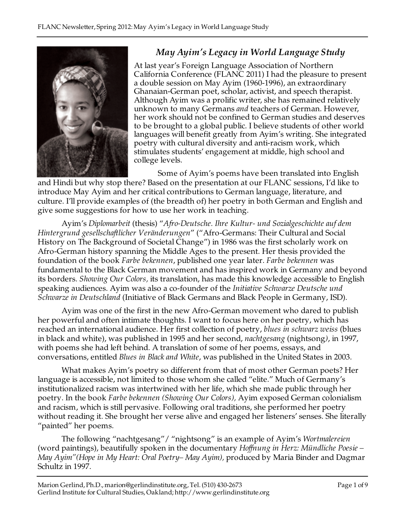

# *May Ayim's Legacy in World Language Study*

At last year's Foreign Language Association of Northern California Conference (FLANC 2011) I had the pleasure to present a double session on May Ayim (1960-1996), an extraordinary Ghanaian-German poet, scholar, activist, and speech therapist. Although Ayim was a prolific writer, she has remained relatively unknown to many Germans *and* teachers of German. However, her work should not be confined to German studies and deserves to be brought to a global public. I believe students of other world languages will benefit greatly from Ayim's writing. She integrated poetry with cultural diversity and anti-racism work, which stimulates students' engagement at middle, high school and college levels.

Some of Ayim's poems have been translated into English

and Hindi but why stop there? Based on the presentation at our FLANC sessions, I'd like to introduce May Ayim and her critical contributions to German language, literature, and culture. I'll provide examples of (the breadth of) her poetry in both German and English and give some suggestions for how to use her work in teaching.

Ayim's *Diplomarbeit* (thesis) "*Afro-Deutsche. Ihre Kultur- und Sozialgeschichte auf dem Hintergrund gesellschaftlicher Veränderungen*" ("Afro-Germans: Their Cultural and Social History on The Background of Societal Change") in 1986 was the first scholarly work on Afro-German history spanning the Middle Ages to the present. Her thesis provided the foundation of the book *Farbe bekennen*, published one year later. *Farbe bekennen* was fundamental to the Black German movement and has inspired work in Germany and beyond its borders. *Showing Our Colors,* its translation, has made this knowledge accessible to English speaking audiences. Ayim was also a co-founder of the *Initiative Schwarze Deutsche und Schwarze in Deutschland* (Initiative of Black Germans and Black People in Germany, ISD).

Ayim was one of the first in the new Afro-German movement who dared to publish her powerful and often intimate thoughts. I want to focus here on her poetry, which has reached an international audience. Her first collection of poetry, *blues in schwarz weiss* (blues in black and white), was published in 1995 and her second, *nachtgesang* (nightsong*)*, in 1997, with poems she had left behind. A translation of some of her poems, essays, and conversations, entitled *Blues in Black and White*, was published in the United States in 2003.

What makes Ayim's poetry so different from that of most other German poets? Her language is accessible, not limited to those whom she called "elite." Much of Germany's institutionalized racism was intertwined with her life, which she made public through her poetry. In the book *Farbe bekennen (Showing Our Colors),* Ayim exposed German colonialism and racism, which is still pervasive. Following oral traditions, she performed her poetry without reading it. She brought her verse alive and engaged her listeners' senses. She literally "painted" her poems.

The following "nachtgesang"/ "nightsong" is an example of Ayim's *Wortmalereien* (word paintings), beautifully spoken in the documentary *Hoffnung in Herz: Mündliche Poesie – May Ayim"(Hope in My Heart: Oral Poetry– May Ayim),* produced by Maria Binder and Dagmar Schultz in 1997.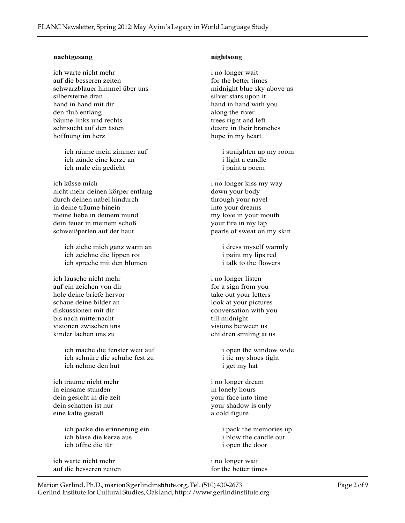#### **nachtgesang**

ich warte nicht mehr auf die besseren zeiten schwarzblauer himmel über uns silbersterne dran hand in hand mit dir den fluß entlang bäume links und rechts sehnsucht auf den ästen hoffnung im herz

> ich räume mein zimmer auf ich zünde eine kerze an ich male ein gedicht

ich küsse mich nicht mehr deinen körper entlang durch deinen nabel hindurch in deine träume hinein meine liebe in deinem mund dein feuer in meinem schoß schweißperlen auf der haut

> ich ziehe mich ganz warm an ich zeichne die lippen rot ich spreche mit den blumen

ich lausche nicht mehr auf ein zeichen von dir hole deine briefe hervor schaue deine bilder an diskussionen mit dir bis nach mitternacht visionen zwischen uns kinder lachen uns zu

> ich mache die fenster weit auf ich schnüre die schuhe fest zu ich nehme den hut

ich träume nicht mehr in einsame stunden dein gesicht in die zeit dein schatten ist nur eine kalte gestalt

> ich packe die erinnerung ein ich blase die kerze aus ich öffne die tür

ich warte nicht mehr auf die besseren zeiten

## **nightsong**

i no longer wait for the better times midnight blue sky above us silver stars upon it hand in hand with you along the river trees right and left desire in their branches hope in my heart

> i straighten up my room i light a candle i paint a poem

i no longer kiss my way down your body through your navel into your dreams my love in your mouth your fire in my lap pearls of sweat on my skin

> i dress myself warmly i paint my lips red i talk to the flowers

i no longer listen for a sign from you take out your letters look at your pictures conversation with you till midnight visions between us children smiling at us

> i open the window wide i tie my shoes tight i get my hat

i no longer dream in lonely hours your face into time your shadow is only a cold figure

> i pack the memories up i blow the candle out i open the door

i no longer wait for the better times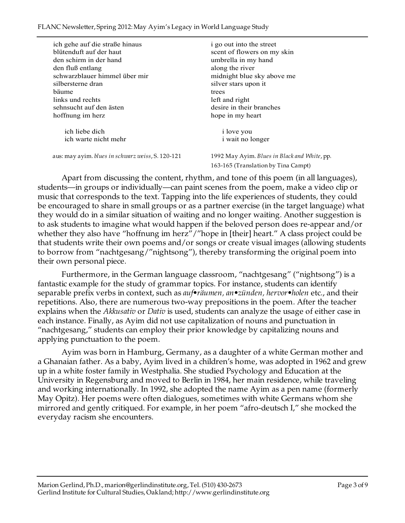| ich gehe auf die straße hinaus<br>blütenduft auf der haut<br>den schirm in der hand<br>den fluß entlang<br>schwarzblauer himmel über mir | i go out into the street<br>scent of flowers on my skin<br>umbrella in my hand<br>along the river<br>midnight blue sky above me |
|------------------------------------------------------------------------------------------------------------------------------------------|---------------------------------------------------------------------------------------------------------------------------------|
| silbersterne dran                                                                                                                        | silver stars upon it                                                                                                            |
| bäume                                                                                                                                    | trees                                                                                                                           |
| links und rechts                                                                                                                         | left and right                                                                                                                  |
| sehnsucht auf den ästen                                                                                                                  | desire in their branches                                                                                                        |
| hoffnung im herz                                                                                                                         | hope in my heart                                                                                                                |
| ich liebe dich<br>ich warte nicht mehr                                                                                                   | <i>i</i> love you<br><i>i</i> wait no longer                                                                                    |
| aus: may ayim. blues in schwarz weiss, S. 120-121                                                                                        | 1992 May Ayim. Blues in Black and White, pp.<br>163-165 (Translation by Tina Campt)                                             |

Apart from discussing the content, rhythm, and tone of this poem (in all languages), students—in groups or individually—can paint scenes from the poem, make a video clip or music that corresponds to the text. Tapping into the life experiences of students, they could be encouraged to share in small groups or as a partner exercise (in the target language) what they would do in a similar situation of waiting and no longer waiting. Another suggestion is to ask students to imagine what would happen if the beloved person does re-appear and/or whether they also have "hoffnung im herz"/"hope in [their] heart." A class project could be that students write their own poems and/or songs or create visual images (allowing students to borrow from "nachtgesang/"nightsong"), thereby transforming the original poem into their own personal piece.

Furthermore, in the German language classroom, "nachtgesang" ("nightsong") is a fantastic example for the study of grammar topics. For instance, students can identify separable prefix verbs in context, such as *auf•räumen, an•zünden, hervor•holen* etc., and their repetitions. Also, there are numerous two-way prepositions in the poem. After the teacher explains when the *Akkusativ* or *Dativ* is used, students can analyze the usage of either case in each instance. Finally, as Ayim did not use capitalization of nouns and punctuation in "nachtgesang," students can employ their prior knowledge by capitalizing nouns and applying punctuation to the poem.

Ayim was born in Hamburg, Germany, as a daughter of a white German mother and a Ghanaian father. As a baby, Ayim lived in a children's home, was adopted in 1962 and grew up in a white foster family in Westphalia. She studied Psychology and Education at the University in Regensburg and moved to Berlin in 1984, her main residence, while traveling and working internationally. In 1992, she adopted the name Ayim as a pen name (formerly May Opitz). Her poems were often dialogues, sometimes with white Germans whom she mirrored and gently critiqued. For example, in her poem "afro-deutsch I," she mocked the everyday racism she encounters.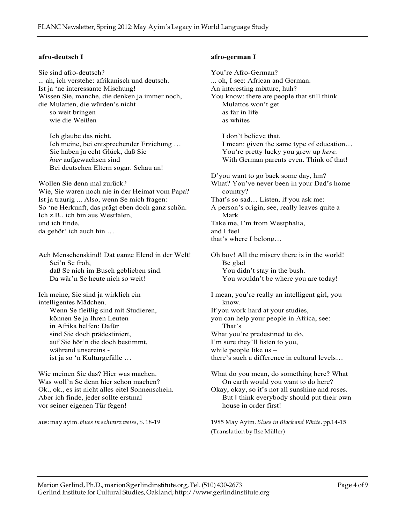### **afro-deutsch I**

Sie sind afro-deutsch? ... ah, ich verstehe: afrikanisch und deutsch. Ist ja 'ne interessante Mischung! Wissen Sie, manche, die denken ja immer noch, die Mulatten, die würden's nicht so weit bringen wie die Weißen

Ich glaube das nicht. Ich meine, bei entsprechender Erziehung … Sie haben ja echt Glück, daß Sie *hier* aufgewachsen sind Bei deutschen Eltern sogar. Schau an!

Wollen Sie denn mal zurück? Wie, Sie waren noch nie in der Heimat vom Papa? Ist ja traurig ... Also, wenn Se mich fragen: So 'ne Herkunft, das prägt eben doch ganz schön. Ich z.B., ich bin aus Westfalen, und ich finde, da gehör' ich auch hin …

Ach Menschenskind! Dat ganze Elend in der Welt! Sei'n Se froh, daß Se nich im Busch geblieben sind. Da wär'n Se heute nich so weit!

Ich meine, Sie sind ja wirklich ein intelligentes Mädchen. Wenn Se fleißig sind mit Studieren, können Se ja Ihren Leuten in Afrika helfen: Dafür sind Sie doch prädestiniert, auf Sie hör'n die doch bestimmt, während unsereins ist ja so 'n Kulturgefälle …

Wie meinen Sie das? Hier was machen. Was woll'n Se denn hier schon machen? Ok., ok., es ist nicht alles eitel Sonnenschein. Aber ich finde, jeder sollte erstmal vor seiner eigenen Tür fegen!

aus: may ayim. *blues in schwarz weiss*, S. 18-19

## **afro-german I**

You're Afro-German? ... oh, I see: African and German. An interesting mixture, huh? You know: there are people that still think Mulattos won't get as far in life as whites I don't believe that. I mean: given the same type of education… You're pretty lucky you grew up *here.* With German parents even. Think of that! D'you want to go back some day, hm? What? You've never been in your Dad's home country? That's so sad… Listen, if you ask me: A person's origin, see, really leaves quite a Mark Take me, I'm from Westphalia, and I feel that's where I belong… Oh boy! All the misery there is in the world! Be glad You didn't stay in the bush. You wouldn't be where you are today! I mean, you're really an intelligent girl, you know. If you work hard at your studies, you can help your people in Africa, see: That's What you're predestined to do, I'm sure they'll listen to you, while people Iike us – there's such a difference in cultural levels… What do you mean, do something here? What On earth would you want to do here? Okay, okay, so it's not all sunshine and roses. But I think everybody should put their own

1985 May Ayim. *Blues in Black and White,* pp.14-15 (Translation by Ilse Müller)

house in order first!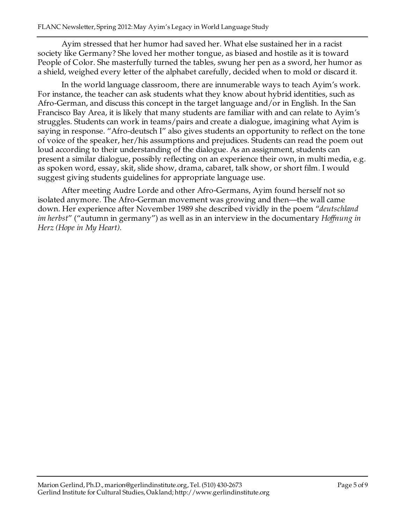Ayim stressed that her humor had saved her. What else sustained her in a racist society like Germany? She loved her mother tongue, as biased and hostile as it is toward People of Color. She masterfully turned the tables, swung her pen as a sword, her humor as a shield, weighed every letter of the alphabet carefully, decided when to mold or discard it.

In the world language classroom, there are innumerable ways to teach Ayim's work. For instance, the teacher can ask students what they know about hybrid identities, such as Afro-German, and discuss this concept in the target language and/or in English. In the San Francisco Bay Area, it is likely that many students are familiar with and can relate to Ayim's struggles. Students can work in teams/pairs and create a dialogue, imagining what Ayim is saying in response. "Afro-deutsch I" also gives students an opportunity to reflect on the tone of voice of the speaker, her/his assumptions and prejudices. Students can read the poem out loud according to their understanding of the dialogue. As an assignment, students can present a similar dialogue, possibly reflecting on an experience their own, in multi media, e.g. as spoken word, essay, skit, slide show, drama, cabaret, talk show, or short film. I would suggest giving students guidelines for appropriate language use.

After meeting Audre Lorde and other Afro-Germans, Ayim found herself not so isolated anymore. The Afro-German movement was growing and then—the wall came down. Her experience after November 1989 she described vividly in the poem "*deutschland im herbst*" ("autumn in germany") as well as in an interview in the documentary *Hoffnung in Herz (Hope in My Heart).*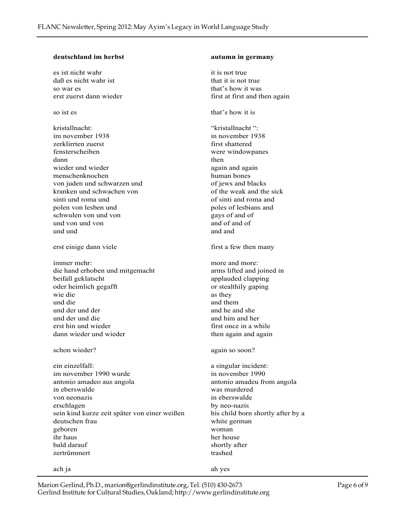#### **deutschland im herbst**

es ist nicht wahr daß es nicht wahr ist so war es erst zuerst dann wieder

#### so ist es

kristallnacht: im november 1938 zerklirrten zuerst fensterscheiben dann wieder und wieder menschenknochen von juden und schwarzen und kranken und schwachen von sinti und roma und polen von lesben und schwulen von und von und von und von und und

erst einige dann viele

immer mehr: die hand erhoben und mitgemacht beifall geklatscht oder heimlich gegafft wie die und die und der und der und der und die erst hin und wieder dann wieder und wieder

schon wieder?

ach ja

ein einzelfall: im november 1990 wurde antonio amadeo aus angola in eberswalde von neonazis erschlagen sein kind kurze zeit später von einer weißen deutschen frau geboren ihr haus bald darauf zertrümmert

#### **autumn in germany**

it is not true that it is not true that's how it was first at first and then again

#### that's how it is

"kristallnacht ": in november 1938 first shattered were windowpanes then again and again human bones of jews and blacks of the weak and the sick of sinti and roma and poles of lesbians and gays of and of and of and of and and

first a few then many

more and more: arms lifted and joined in applauded clapping or stealthily gaping as they and them and he and she and him and her first once in a while then again and again

#### again so soon?

ah yes

a singular incident: in november 1990 antonio amadeu from angola was murdered in eberswalde by neo-nazis his child born shortly after by a white german woman her house shortly after trashed

Marion Gerlind, Ph.D., marion@gerlindinstitute.org, Tel. (510) 430-2673 Page 6 of 9 Gerlind Institute for Cultural Studies, Oakland; http://www.gerlindinstitute.org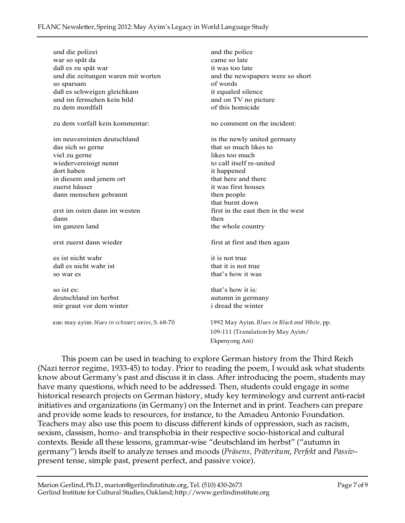| und die polizei                                 | and the police                               |
|-------------------------------------------------|----------------------------------------------|
| war so spät da                                  | came so late                                 |
| daß es zu spät war                              | it was too late                              |
| und die zeitungen waren mit worten              | and the newspapers were so short             |
| so sparsam                                      | of words                                     |
| daß es schweigen gleichkam                      | it equaled silence                           |
| und im fernsehen kein bild                      | and on TV no picture                         |
| zu dem mordfall                                 | of this homicide                             |
| zu dem vorfall kein kommentar:                  | no comment on the incident:                  |
| im neuvereinten deutschland                     | in the newly united germany                  |
| das sich so gerne                               | that so much likes to                        |
| viel zu gerne                                   | likes too much                               |
| wiedervereinigt nennt                           | to call itself re-united                     |
| dort haben                                      | it happened                                  |
| in diesem und jenem ort                         | that here and there                          |
| zuerst häuser                                   | it was first houses                          |
| dann menschen gebrannt                          | then people                                  |
|                                                 | that burnt down                              |
| erst im osten dann im westen                    | first in the east then in the west           |
| dann                                            | then                                         |
| im ganzen land                                  | the whole country                            |
| erst zuerst dann wieder                         | first at first and then again                |
| es ist nicht wahr                               | it is not true                               |
| daß es nicht wahr ist                           | that it is not true                          |
| so war es                                       | that's how it was                            |
| so ist es:                                      | that's how it is:                            |
| deutschland im herbst                           | autumn in germany                            |
| mir graut vor dem winter                        | <i>i</i> dread the winter                    |
| aus: may ayim. blues in schwarz weiss, S. 68-70 | 1992 May Ayim. Blues in Black and White, pp. |
|                                                 | 109-111 (Translation by May Ayim/            |
|                                                 | Ekpenyong Ani)                               |

This poem can be used in teaching to explore German history from the Third Reich (Nazi terror regime, 1933-45) to today. Prior to reading the poem, I would ask what students know about Germany's past and discuss it in class. After introducing the poem, students may have many questions, which need to be addressed. Then, students could engage in some historical research projects on German history, study key terminology and current anti-racist initiatives and organizations (in Germany) on the Internet and in print. Teachers can prepare and provide some leads to resources, for instance, to the Amadeu Antonio Foundation. Teachers may also use this poem to discuss different kinds of oppression, such as racism, sexism, classism, homo- and transphobia in their respective socio-historical and cultural contexts. Beside all these lessons, grammar-wise "deutschland im herbst" ("autumn in germany") lends itself to analyze tenses and moods (*Präsens, Präteritum*, *Perfekt* and *Passiv*– present tense, simple past, present perfect, and passive voice).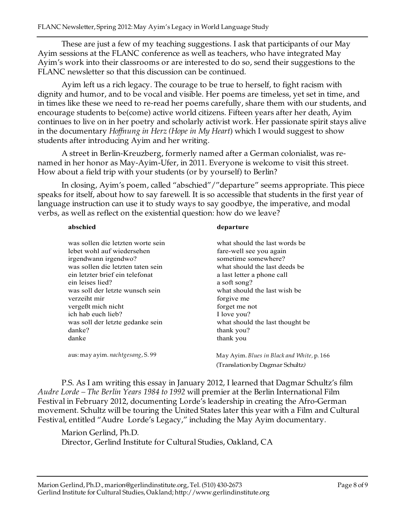These are just a few of my teaching suggestions. I ask that participants of our May Ayim sessions at the FLANC conference as well as teachers, who have integrated May Ayim's work into their classrooms or are interested to do so, send their suggestions to the FLANC newsletter so that this discussion can be continued.

Ayim left us a rich legacy. The courage to be true to herself, to fight racism with dignity and humor, and to be vocal and visible. Her poems are timeless, yet set in time, and in times like these we need to re-read her poems carefully, share them with our students, and encourage students to be(come) active world citizens. Fifteen years after her death, Ayim continues to live on in her poetry and scholarly activist work. Her passionate spirit stays alive in the documentary *Hoffnung in Herz (Hope in My Heart*) which I would suggest to show students after introducing Ayim and her writing.

A street in Berlin-Kreuzberg, formerly named after a German colonialist, was renamed in her honor as May-Ayim-Ufer, in 2011. Everyone is welcome to visit this street. How about a field trip with your students (or by yourself) to Berlin?

In closing, Ayim's poem, called "abschied"/"departure" seems appropriate. This piece speaks for itself, about how to say farewell. It is so accessible that students in the first year of language instruction can use it to study ways to say goodbye, the imperative, and modal verbs, as well as reflect on the existential question: how do we leave?

# **abschied**

was sollen die letzten worte sein lebet wohl auf wiedersehen irgendwann irgendwo? was sollen die letzten taten sein ein letzter brief ein telefonat ein leises lied? was soll der letzte wunsch sein verzeiht mir vergeßt mich nicht ich hab euch lieb? was soll der letzte gedanke sein danke? danke

# **departure**

what should the last words be fare-well see you again sometime somewhere? what should the last deeds be a last letter a phone call a soft song? what should the last wish be forgive me forget me not I love you? what should the last thought be thank you? thank you

aus: may ayim. *nachtgesang*, S. 99

May Ayim. *Blues in Black and White,* p. 166 (Translation by Dagmar Schultz*)*

P.S. As I am writing this essay in January 2012, I learned that Dagmar Schultz's film *Audre Lorde – The Berlin Years 1984 to 1992* will premier at the Berlin International Film Festival in February 2012, documenting Lorde's leadership in creating the Afro-German movement. Schultz will be touring the United States later this year with a Film and Cultural Festival, entitled "Audre Lorde's Legacy," including the May Ayim documentary.

Marion Gerlind, Ph.D. Director, Gerlind Institute for Cultural Studies, Oakland, CA